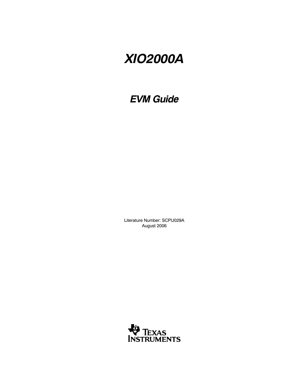# *XIO2000A*

## *EVM Guide*

Literature Number: SCPU029A August 2006

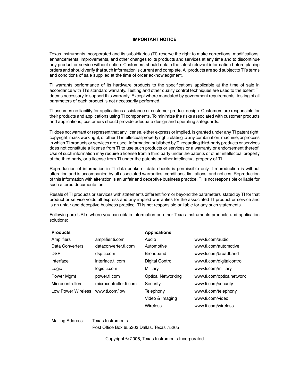#### **IMPORTANT NOTICE**

Texas Instruments Incorporated and its subsidiaries (TI) reserve the right to make corrections, modifications, enhancements, improvements, and other changes to its products and services at any time and to discontinue any product or service without notice. Customers should obtain the latest relevant information before placing orders and should verify that such information is current and complete. All products are sold subject to TI's terms and conditions of sale supplied at the time of order acknowledgment.

TI warrants performance of its hardware products to the specifications applicable at the time of sale in accordance with TI's standard warranty. Testing and other quality control techniques are used to the extent TI deems necessary to support this warranty. Except where mandated by government requirements, testing of all parameters of each product is not necessarily performed.

TI assumes no liability for applications assistance or customer product design. Customers are responsible for their products and applications using TI components. To minimize the risks associated with customer products and applications, customers should provide adequate design and operating safeguards.

TI does not warrant or represent that any license, either express or implied, is granted under any TI patent right, copyright, mask work right, or other TI intellectual property right relating to any combination, machine, or process in which TI products or services are used. Information published by TI regarding third-party products or services does not constitute a license from TI to use such products or services or a warranty or endorsement thereof. Use of such information may require a license from a third party under the patents or other intellectual property of the third party, or a license from TI under the patents or other intellectual property of TI.

Reproduction of information in TI data books or data sheets is permissible only if reproduction is without alteration and is accompanied by all associated warranties, conditions, limitations, and notices. Reproduction of this information with alteration is an unfair and deceptive business practice. TI is not responsible or liable for such altered documentation.

Resale of TI products or services with statements different from or beyond the parameters stated by TI for that product or service voids all express and any implied warranties for the associated TI product or service and is an unfair and deceptive business practice. TI is not responsible or liable for any such statements.

Following are URLs where you can obtain information on other Texas Instruments products and application solutions:

| <b>Products</b>    |                        | <b>Applications</b>       |                           |
|--------------------|------------------------|---------------------------|---------------------------|
| Amplifiers         | amplifier.ti.com       | Audio                     | www.ti.com/audio          |
| Data Converters    | dataconverter ti.com   | Automotive                | www.ti.com/automotive     |
| <b>DSP</b>         | dsp.ti.com             | <b>Broadband</b>          | www.ti.com/broadband      |
| Interface          | interface ti.com       | Digital Control           | www.ti.com/digitalcontrol |
| Logic              | logic.ti.com           | Military                  | www.ti.com/military       |
| Power Mgmt         | power.ti.com           | <b>Optical Networking</b> | www.ti.com/opticalnetwork |
| Microcontrollers   | microcontroller ti.com | Security                  | www.ti.com/security       |
| Low Power Wireless | www.ti.com/lpw         | Telephony                 | www.ti.com/telephony      |
|                    |                        | Video & Imaging           | www.ti.com/video          |
|                    |                        | Wireless                  | www.ti.com/wireless       |

Mailing Address: Texas Instruments

Post Office Box 655303 Dallas, Texas 75265

Copyright © 2006, Texas Instruments Incorporated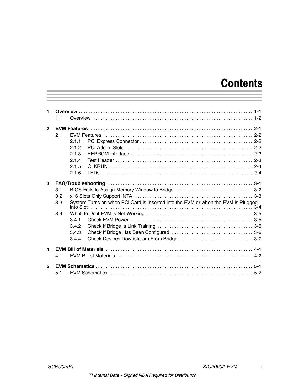# **Contents**

| $\mathbf{1}$   |     |       |                                                                                   |  |
|----------------|-----|-------|-----------------------------------------------------------------------------------|--|
|                | 1.1 |       |                                                                                   |  |
| $\overline{2}$ |     |       |                                                                                   |  |
|                | 2.1 |       |                                                                                   |  |
|                |     | 2.1.1 |                                                                                   |  |
|                |     | 212   |                                                                                   |  |
|                |     | 213   |                                                                                   |  |
|                |     | 214   |                                                                                   |  |
|                |     | 2.1.5 |                                                                                   |  |
|                |     | 2.1.6 |                                                                                   |  |
| 3              |     |       |                                                                                   |  |
|                | 3.1 |       |                                                                                   |  |
|                | 3.2 |       |                                                                                   |  |
|                | 3.3 |       | System Turns on when PCI Card is Inserted into the EVM or when the EVM is Plugged |  |
|                | 3.4 |       |                                                                                   |  |
|                |     | 3.4.1 |                                                                                   |  |
|                |     | 3.4.2 |                                                                                   |  |
|                |     | 3.4.3 |                                                                                   |  |
|                |     | 3.4.4 |                                                                                   |  |
| $\Delta$       |     |       |                                                                                   |  |
|                | 4.1 |       |                                                                                   |  |
| 5              |     |       |                                                                                   |  |
|                | 5.1 |       |                                                                                   |  |

*TI Internal Data -- Signed NDA Required for Distribution*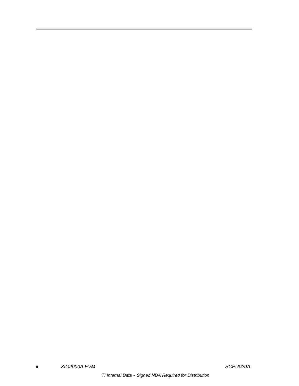### ii *XIO2000A EVM*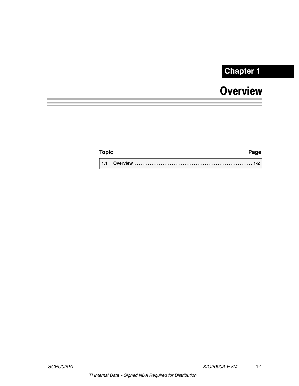# **Overview**

| <b>Topic</b> |  |
|--------------|--|
|              |  |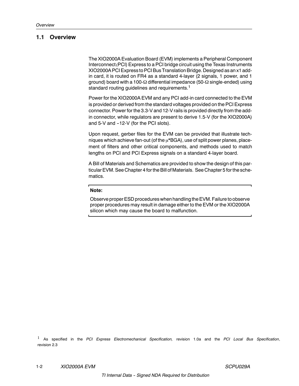### **1.1 Overview**

The XIO2000A Evaluation Board (EVM) implements a Peripheral Component Interconnect(PCI) Express to a PCI bridge circuit using the Texas Instruments XIO2000A PCI Express to PCI Bus Translation Bridge. Designed as an x1 addin card, it is routed on FR4 as a standard 4-layer (2 signals, 1 power, and 1 ground) board with a 100-Ω differential impedance (50-Ω single-ended) using standard routing guidelines and requirements.<sup>1</sup>

Power for the XIO2000A EVM and any PCI add-in card connected to the EVM is provided or derived from the standard voltages provided on the PCI Express connector. Power for the 3.3-V and 12-V rails is provided directly from the addin connector, while regulators are present to derive 1.5-V (for the XIO2000A) and 5-V and -12-V (for the PCI slots).

Upon request, gerber files for the EVM can be provided that illustrate techniques which achieve fan-out (of the  $\mu$ \*BGA), use of split power planes, placement of filters and other critical components, and methods used to match lengths on PCI and PCI Express signals on a standard 4-layer board.

A Bill of Materials and Schematics are provided to show the design of this particular EVM. See Chapter 4 for the Bill of Materials. See Chapter 5 for the schematics.

### **Note:**

Observe proper ESD procedures when handling the EVM. Failure to observe proper procedures may result in damage either to the EVM or the XIO2000A silicon which may cause the board to malfunction.

1 As specified in the *PCI Express Electromechanical Specification,* revision 1.0a and the *PCI Local Bus Specification*, revision 2.3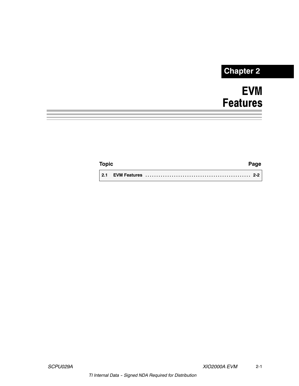## **EVM Features**

| <b>Topic</b> |  | Page |
|--------------|--|------|
|              |  |      |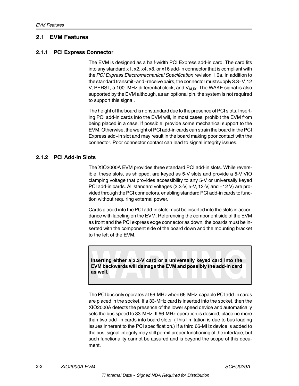### **2.1 EVM Features**

### **2.1.1 PCI Express Connector**

The EVM is designed as a half-width PCI Express add-in card. The card fits into any standard x1, x2, x4, x8, or x16 add-in connector that is compliant with the *PCI Express Electromechanical Specification* revision 1.0a. In addition to the standard transmit-and-receive pairs, the connector must supply 3.3-V, 12 V, PERST, a 100-MHz differential clock, and  $V_{AUX}$ . The  $\overline{WAKE}$  signal is also supported by the EVM although, as an optional pin, the system is not required to support this signal.

The height of the board is nonstandard due to the presence of PCI slots. Inserting PCI add-in cards into the EVM will, in most cases, prohibit the EVM from being placed in a case. If possible, provide some mechanical support to the EVM. Otherwise, the weight of PCI add-in cards can strain the board in the PCI Express add--in slot and may result in the board making poor contact with the connector. Poor connector contact can lead to signal integrity issues.

### **2.1.2 PCI Add-In Slots**

The XIO2000A EVM provides three standard PCI add-in slots. While reversible, these slots, as shipped, are keyed as 5-V slots and provide a 5-V VIO clamping voltage that provides accessibility to any 5-V or universally keyed PCI add-in cards. All standard voltages  $(3.3-V, 5-V, 12-V,$  and  $-12 V)$  are provided through the PCI connectors, enabling standard PCI add-in cards to function without requiring external power.

Cards placed into the PCI add-in slots must be inserted into the slots in accordance with labeling on the EVM. Referencing the component side of the EVM as front and the PCI express edge connector as down, the boards must be inserted with the component side of the board down and the mounting bracket to the left of the EVM.

**Inserting either a 3.3-V card or a universally keyed card into the EVM backwards will damage the EVM and possibly the add-in card as well.**

The PCI bus only operates at 66-MHz when 66-MHz-capable PCI add-in cards are placed in the socket. If a 33-MHz card is inserted into the socket, then the XIO2000A detects the presence of the lower speed device and automatically sets the bus speed to 33-MHz. If 66-MHz operation is desired, place no more than two add--in cards into board slots. (This limitation is due to bus loading issues inherent to the PCI specification.) If a third 66-MHz device is added to the bus, signal integrity may still permit proper functioning of the interface, but such functionality cannot be assured and is beyond the scope of this document.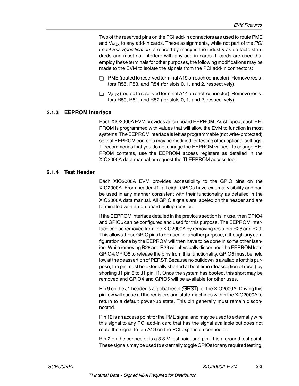Two of the reserved pins on the PCI add-in connectors are used to route PME and V<sub>AUX</sub> to any add-in cards. These assignments, while not part of the *PCI Local Bus Specification*, are used by many in the industry as de facto standards and must not interfere with any add-in cards. If cards are used that employ these terminals for other purposes, the following modifications may be made to the EVM to isolate the signals from the PCI add-in connectors:

- $\Box$  PME (routed to reserved terminal A19 on each connector). Remove resistors R55, R53, and R54 (for slots 0, 1, and 2, respectively).
- $\Box$  V<sub>AUX</sub> (routed to reserved terminal A14 on each connector). Remove resistors R50, R51, and R52 (for slots 0, 1, and 2, respectively).

### **2.1.3 EEPROM Interface**

Each XIO2000A EVM provides an on-board EEPROM. As shipped, each EE-PROM is programmed with values that will allow the EVM to function in most systems. The EEPROM interface is left as programmable (not write-protected) so that EEPROM contents may be modified for testing other optional settings. TI recommends that you do not change the EEPROM values. To change EE-PROM contents, use the EEPROM access registers as detailed in the XIO2000A data manual or request the TI EEPROM access tool.

### **2.1.4 Test Header**

Each XIO2000A EVM provides accessibility to the GPIO pins on the XIO2000A. From header J1, all eight GPIOs have external visibility and can be used in any manner consistent with their functionality as detailed in the XIO2000A data manual. All GPIO signals are labeled on the header and are terminated with an on-board pullup resistor.

If the EEPROM interface detailed in the previous section is in use, then GPIO4 and GPIO5 can be configured and used for this purpose. The EEPROM interface can be removed from the XIO2000A by removing resistors R28 and R29. This allows these GPIO pins to be used for another purpose, although any configuration done by the EEPROM will then have to be done in some other fashion.While removing R28 and R29 will physically disconnect the EEPROM from GPIO4/GPIO5 to release the pins from this functionality, GPIO5 must be held low at the deassertion of PERST. Because no pulldown is available for this purpose, the pin must be externally shorted at boot time (deassertion of reset) by shorting J1 pin 8 to J1 pin 11. Once the system has booted, this short may be removed and GPIO4 and GPIO5 will be available for other uses.

Pin 9 on the J1 header is a global reset (GRST) for the XIO2000A. Driving this pin low will cause all the registers and state-machines within the XIO2000A to return to a default power-up state. This pin generally must remain disconnected.

Pin 12 is an access point for the PME signal and may be used to externally wire this signal to any PCI add-in card that has the signal available but does not route the signal to pin A19 on the PCI expansion connector.

Pin 2 on the connector is a 3.3-V test point and pin 11 is a ground test point. These signals may be used to externally toggle GPIOs for any required testing.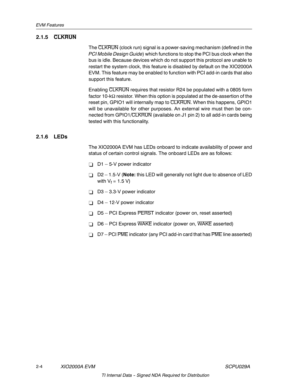### **2.1.5 CLKRUN**

The CLKRUN (clock run) signal is a power-saving mechanism (defined in the *PCI Mobile Design Guide*) which functions to stop the PCI bus clock when the bus is idle. Because devices which do not support this protocol are unable to restart the system clock, this feature is disabled by default on the XIO2000A EVM. This feature may be enabled to function with PCI add-in cards that also support this feature.

Enabling CLKRUN requires that resistor R24 be populated with a 0805 form factor 10-kΩ resistor. When this option is populated at the de-assertion of the reset pin, GPIO1 will internally map to CLKRUN. When this happens, GPIO1 will be unavailable for other purposes. An external wire must then be connected from GPIO1/CLKRUN (available on J1 pin 2) to all add-in cards being tested with this functionality.

### **2.1.6 LEDs**

The XIO2000A EVM has LEDs onboard to indicate availability of power and status of certain control signals. The onboard LEDs are as follows:

- $\Box$  D1 5-V power indicator
- □ D2-1.5-V (**Note:** this LED will generally not light due to absence of LED with  $V_f = 1.5 V$ )
- $\Box$  D3 3.3-V power indicator
- $\Box$  D4 12-V power indicator
- $\Box$  D5 PCI Express PERST indicator (power on, reset asserted)
- $\Box$  D6 PCI Express WAKE indicator (power on, WAKE asserted)
- $\Box$  D7 PCI PME indicator (any PCI add-in card that has PME line asserted)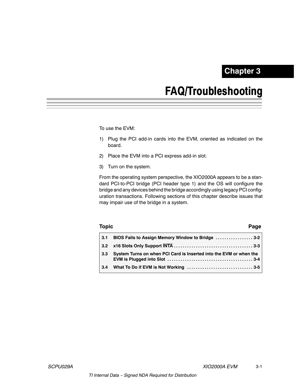## **FAQ/Troubleshooting**

To use the EVM:

- 1) Plug the PCI add-in cards into the EVM, oriented as indicated on the board.
- 2) Place the EVM into a PCI express add-in slot.
- 3) Turn on the system.

From the operating system perspective, the XIO2000A appears to be a standard PCI-to-PCI bridge (PCI header type 1) and the OS will configure the bridge and any devices behind the bridge accordingly using legacy PCI configuration transactions. Following sections of this chapter describe issues that may impair use of the bridge in a system.

| <b>Topic</b> | Page                                                               |
|--------------|--------------------------------------------------------------------|
| 3.1          | BIOS Fails to Assign Memory Window to Bridge  3-2                  |
|              |                                                                    |
| 3.3          | System Turns on when PCI Card is Inserted into the EVM or when the |
| 3.4          | What To Do if EVM is Not Working  3-5                              |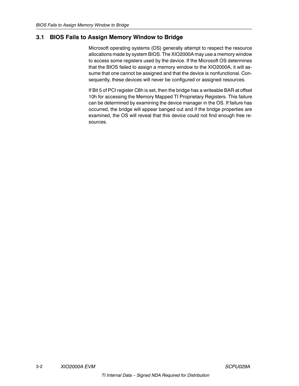### **3.1 BIOS Fails to Assign Memory Window to Bridge**

Microsoft operating systems (OS) generally attempt to respect the resource allocations made by system BIOS. The XIO2000A may use a memory window to access some registers used by the device. If the Microsoft OS determines that the BIOS failed to assign a memory window to the XIO2000A, it will assume that one cannot be assigned and that the device is nonfunctional. Consequently, these devices will never be configured or assigned resources.

If Bit 5 of PCI register C8h is set, then the bridge has a writeable BAR at offset 10h for accessing the Memory Mapped TI Proprietary Registers. This failure can be determined by examining the device manager in the OS. If failure has occurred, the bridge will appear banged out and if the bridge properties are examined, the OS will reveal that this device could not find enough free resources.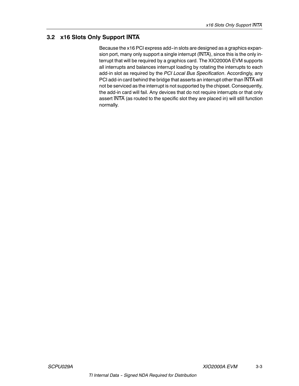### **3.2 x16 Slots Only Support INTA**

Because the x16 PCI express add--in slots are designed as a graphics expansion port, many only support a single interrupt (INTA), since this is the only interrupt that will be required by a graphics card. The XIO2000A EVM supports all interrupts and balances interrupt loading by rotating the interrupts to each add-in slot as required by the *PCI Local Bus Specification*. Accordingly, any PCI add-in card behind the bridge that asserts an interrupt other than INTA will not be serviced as the interrupt is not supported by the chipset. Consequently, the add-in card will fail. Any devices that do not require interrupts or that only assert INTA (as routed to the specific slot they are placed in) will still function normally.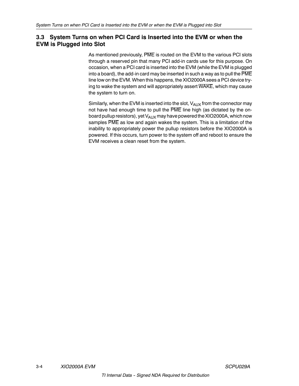### **3.3 System Turns on when PCI Card is Inserted into the EVM or when the EVM is Plugged into Slot**

As mentioned previously, PME is routed on the EVM to the various PCI slots through a reserved pin that many PCI add-in cards use for this purpose. On occasion, when a PCI card is inserted into the EVM (while the EVM is plugged into a board), the add-in card may be inserted in such a way as to pull the PME line low on the EVM. When this happens, the XIO2000A sees a PCI device trying to wake the system and will appropriately assert WAKE, which may cause the system to turn on.

Similarly, when the EVM is inserted into the slot,  $V_{AUX}$  from the connector may not have had enough time to pull the PME line high (as dictated by the onboard pullup resistors), yet V<sub>AUX</sub> may have powered the XIO2000A, which now samples PME as low and again wakes the system. This is a limitation of the inability to appropriately power the pullup resistors before the XIO2000A is powered. If this occurs, turn power to the system off and reboot to ensure the EVM receives a clean reset from the system.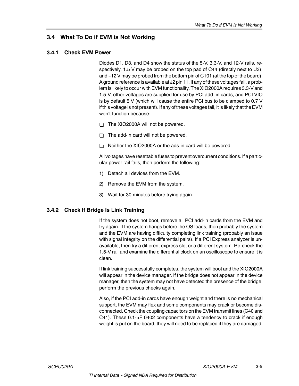### **3.4 What To Do if EVM is Not Working**

### **3.4.1 Check EVM Power**

Diodes D1, D3, and D4 show the status of the 5-V, 3.3-V, and 12-V rails, respectively. 1.5 V may be probed on the top pad of C44 (directly next to U3), and  $-12$  V may be probed from the bottom pin of C101 (at the top of the board). A ground reference is available at J2 pin 11. If any of these voltages fail, a problem is likely to occur with EVM functionality. The XIO2000A requires 3.3-V and 1.5-V, other voltages are supplied for use by PCI add-in cards, and PCI VIO is by default 5 V (which will cause the entire PCI bus to be clamped to 0.7 V if this voltage is not present). If any of these voltages fail, it is likely that the EVM won't function because:

- $\Box$  The XIO2000A will not be powered.
- $\Box$  The add-in card will not be powered.
- $\Box$  Neither the XIO2000A or the ads-in card will be powered.

All voltages have resettable fuses to prevent overcurrent conditions. If a particular power rail fails, then perform the following:

- 1) Detach all devices from the EVM.
- 2) Remove the EVM from the system.
- 3) Wait for 30 minutes before trying again.

### **3.4.2 Check If Bridge Is Link Training**

If the system does not boot, remove all PCI add-in cards from the EVM and try again. If the system hangs before the OS loads, then probably the system and the EVM are having difficulty completing link training (probably an issue with signal integrity on the differential pairs). If a PCI Express analyzer is unavailable, then try a different express slot or a different system. Re-check the 1.5-V rail and examine the differential clock on an oscilloscope to ensure it is clean.

If link training successfully completes, the system will boot and the XIO2000A will appear in the device manager. If the bridge does not appear in the device manager, then the system may not have detected the presence of the bridge, perform the previous checks again.

Also, if the PCI add-in cards have enough weight and there is no mechanical support, the EVM may flex and some components may crack or become disconnected. Check the coupling capacitors on the EVM transmit lines (C40 and C41). These 0.1-μF 0402 components have a tendency to crack if enough weight is put on the board; they will need to be replaced if they are damaged.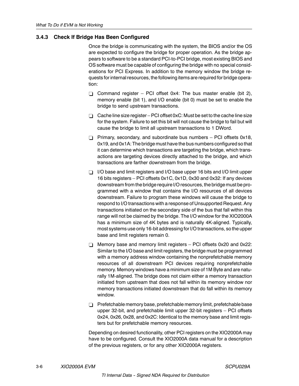### **3.4.3 Check If Bridge Has Been Configured**

Once the bridge is communicating with the system, the BIOS and/or the OS are expected to configure the bridge for proper operation. As the bridge appears to software to be a standard PCI-to-PCI bridge, most existing BIOS and OS software must be capable of configuring the bridge with no special considerations for PCI Express. In addition to the memory window the bridge requests for internal resources, the following items are required for bridge operation:

- $\Box$  Command register PCI offset 0x4: The bus master enable (bit 2), memory enable (bit 1), and I/O enable (bit 0) must be set to enable the bridge to send upstream transactions.
- $\Box$  Cache line size register PCI offset 0xC: Must be set to the cache line size for the system. Failure to set this bit will not cause the bridge to fail but will cause the bridge to limit all upstream transactions to 1 DWord.
- $\Box$  Primary, secondary, and subordinate bus numbers PCI offsets 0x18, 0x19, and 0x1A: The bridge must have the bus numbers configured so that it can determine which transactions are targeting the bridge, which transactions are targeting devices directly attached to the bridge, and which transactions are farther downstream from the bridge.
- $\Box$  I/O base and limit registers and I/O base upper 16 bits and I/O limit upper 16 bits registers – PCI offsets 0x1C, 0x1D, 0x30 and 0x32: If any devices downstream from the bridge require I/O resources, the bridge must be programmed with a window that contains the I/O resources of all devices downstream. Failure to program these windows will cause the bridge to respond to I/O transactions with a response of Unsupported Request. Any transactions initiated on the secondary side of the bus that fall within this range will not be claimed by the bridge. The I/O window for the XIO2000A has a minimum size of 4K bytes and is naturally 4K-aligned. Typically, most systems use only 16-bit addressing for I/O transactions, so the upper base and limit registers remain 0.
- $\Box$  Memory base and memory limit registers PCI offsets 0x20 and 0x22: Similar to the I/O base and limit registers, the bridge must be programmed with a memory address window containing the nonprefetchable memory resources of all downstream PCI devices requiring nonprefetchable memory. Memory windows have a minimum size of 1M Byte and are naturally 1M-aligned. The bridge does not claim either a memory transaction initiated from upstream that does not fall within its memory window nor memory transactions initiated downstream that do fall within its memory window.
- $\Box$  Prefetchable memory base, prefetchable memory limit, prefetchable base upper 32-bit, and prefetchable limit upper 32-bit registers – PCI offsets 0x24, 0x26, 0x28, and 0x2C: Identical to the memory base and limit registers but for prefetchable memory resources.

Depending on desired functionality, other PCI registers on the XIO2000A may have to be configured. Consult the XIO2000A data manual for a description of the previous registers, or for any other XIO2000A registers.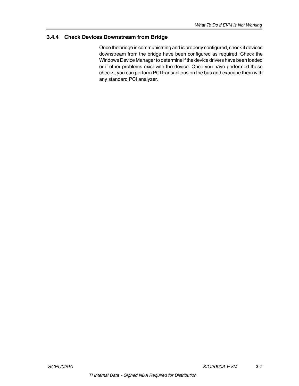### **3.4.4 Check Devices Downstream from Bridge**

Once the bridge is communicating and is properly configured, check if devices downstream from the bridge have been configured as required. Check the Windows Device Manager to determine if the device drivers have been loaded or if other problems exist with the device. Once you have performed these checks, you can perform PCI transactions on the bus and examine them with any standard PCI analyzer.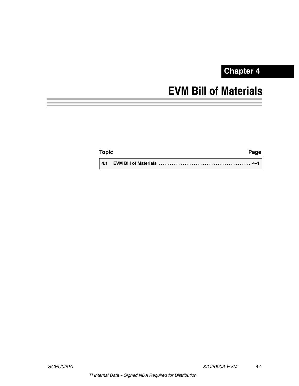# **EVM Bill of Materials**

| <b>Topic</b> | Page |
|--------------|------|
|              |      |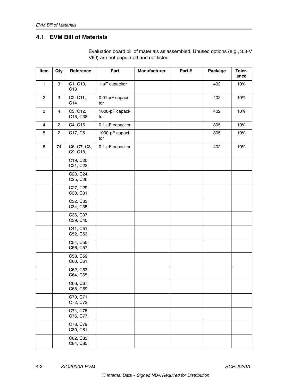### **4.1 EVM Bill of Materials**

| Item           | Qty            | Reference                                 | Part                          | <b>Manufacturer</b> | Part# | Package | Toler-<br>ance |
|----------------|----------------|-------------------------------------------|-------------------------------|---------------------|-------|---------|----------------|
| $\mathbf{1}$   | 3              | C1, C10,<br>C <sub>13</sub>               | $1 - \mu$ F capacitor         |                     |       | 402     | 10%            |
| $\overline{2}$ | 3              | C <sub>2</sub> , C <sub>11</sub> ,<br>C14 | $0.01 - \mu$ F capaci-<br>tor |                     |       | 402     | 10%            |
| 3              | 4              | C3, C12,<br>C15, C38                      | 1000-pF capaci-<br>tor        |                     |       | 402     | 10%            |
| $\overline{4}$ | $\overline{c}$ | C4, C16                                   | $0.1 - \mu$ F capacitor       |                     |       | 805     | 10%            |
| 5              | $\overline{c}$ | C17, C5                                   | 1000-pF capaci-<br>tor        |                     |       | 805     | 10%            |
| 6              | 74             | C6, C7, C8,<br>C9, C18,                   | $0.1 - \mu$ F capacitor       |                     |       | 402     | 10%            |
|                |                | C19, C20,<br>C21, C22,                    |                               |                     |       |         |                |
|                |                | C23, C24,<br>C25, C26,                    |                               |                     |       |         |                |
|                |                | C27, C29,<br>C30, C31,                    |                               |                     |       |         |                |
|                |                | C32, C33,<br>C34, C35,                    |                               |                     |       |         |                |
|                |                | C36, C37,<br>C39, C40,                    |                               |                     |       |         |                |
|                |                | C41, C51,<br>C52, C53,                    |                               |                     |       |         |                |
|                |                | C54, C55,<br>C56, C57,                    |                               |                     |       |         |                |
|                |                | C58, C59,<br>C60, C61,                    |                               |                     |       |         |                |
|                |                | C62, C63,<br>C64, C65,                    |                               |                     |       |         |                |
|                |                | C66, C67,<br>C68, C69,                    |                               |                     |       |         |                |
|                |                | C70, C71,<br>C72, C73,                    |                               |                     |       |         |                |
|                |                | C74, C75,<br>C76, C77,                    |                               |                     |       |         |                |
|                |                | C78, C79,<br>C80, C81,                    |                               |                     |       |         |                |
|                |                | C82, C83,<br>C84, C85,                    |                               |                     |       |         |                |

Evaluation board bill of materials as assembled. Unused options (e.g., 3.3-V VIO) are not populated and not listed.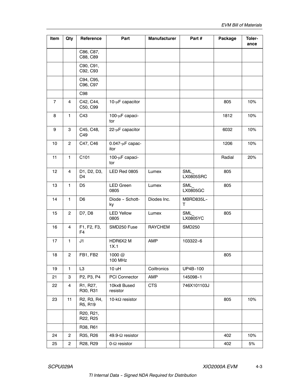| Item            | Qty            | Reference                                      | Part                           | <b>Manufacturer</b> | Part #                  | Package | Toler-<br>ance |
|-----------------|----------------|------------------------------------------------|--------------------------------|---------------------|-------------------------|---------|----------------|
|                 |                | C86, C87,<br>C88, C89                          |                                |                     |                         |         |                |
|                 |                | C90, C91,<br>C92, C93                          |                                |                     |                         |         |                |
|                 |                | C94, C95,<br>C96, C97                          |                                |                     |                         |         |                |
|                 |                | C98                                            |                                |                     |                         |         |                |
| $\overline{7}$  | 4              | C42, C44,<br>C50, C99                          | 10-µF capacitor                |                     |                         | 805     | 10%            |
| 8               | 1.             | C43                                            | 100-µF capaci-<br>tor          |                     |                         | 1812    | 10%            |
| 9               | 3              | C45, C48,<br>C49                               | 22-µF capacitor                |                     |                         | 6032    | 10%            |
| 10              | $\overline{2}$ | C47, C46                                       | $0.047 - \mu F$ capac-<br>itor |                     |                         | 1206    | 10%            |
| 11              | 1              | C <sub>101</sub>                               | 100-µF capaci-<br>tor          |                     |                         | Radial  | 20%            |
| 12 <sup>2</sup> | 4              | D1, D2, D3,<br>D <sub>4</sub>                  | LED Red 0805                   | Lumex               | SML<br><b>LX0805SRC</b> | 805     |                |
| 13              | $\mathbf{1}$   | D <sub>5</sub>                                 | <b>LED</b> Green<br>0805       | Lumex               | SML<br>LX0805GC         | 805     |                |
| 14              | $\mathbf{1}$   | D <sub>6</sub>                                 | Diode - Schott-<br>ky          | Diodes Inc.         | MBRD835L-<br>T          |         |                |
| 15              | $\overline{2}$ | D7, D8                                         | <b>LED Yellow</b><br>0805      | Lumex               | SML<br>LX0805YC         | 805     |                |
| 16              | 4              | F1, F2, F3,<br>F <sub>4</sub>                  | SMD250 Fuse                    | <b>RAYCHEM</b>      | <b>SMD250</b>           |         |                |
| 17              | $\mathbf{1}$   | J1                                             | HDR6X2 M<br>1X.1               | <b>AMP</b>          | 103322-6                |         |                |
| 18              | 2              | FB1, FB2                                       | 1000 @<br>100 MHz              |                     |                         | 805     |                |
| 19              | 1              | L <sub>3</sub>                                 | 10 uH                          | Coiltronics         | UP4B-100                |         |                |
| 21              | 3              | P2, P3, P4                                     | PCI Connector                  | AMP                 | 145098-1                |         |                |
| 22              | 4              | R <sub>1</sub> , R <sub>27</sub> ,<br>R30, R31 | 10kx8 Bused<br>resistor        | <b>CTS</b>          | 746X101103J             |         |                |
| 23              | 11             | R2, R3, R4,<br>R5, R19                         | 10-k $\Omega$ resistor         |                     |                         | 805     | 10%            |
|                 |                | R20, R21,<br>R22, R25                          |                                |                     |                         |         |                |
|                 |                | R38, R61                                       |                                |                     |                         |         |                |
| 24              | $\overline{c}$ | R35, R26                                       | 49.9- $\Omega$ resistor        |                     |                         | 402     | 10%            |
| 25              | $\overline{2}$ | R28, R29                                       | 0- $\Omega$ resistor           |                     |                         | 402     | 5%             |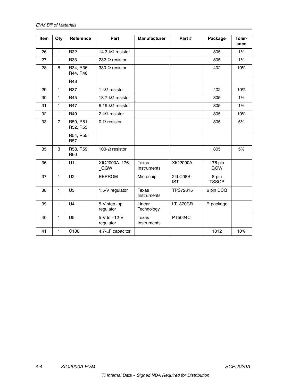| <b>Item</b> | Qty            | Reference               | Part                      | <b>Manufacturer</b>         | Part #                 | Package               | Toler-<br>ance |
|-------------|----------------|-------------------------|---------------------------|-----------------------------|------------------------|-----------------------|----------------|
| 26          | $\mathbf{1}$   | R32                     | 14.3-k $\Omega$ resistor  |                             |                        | 805                   | 1%             |
| 27          | $\mathbf{1}$   | R33                     | 232- $\Omega$ resistor    |                             |                        | 805                   | 1%             |
| 28          | 5              | R34, R36,<br>R44, R46   | 330- $\Omega$ resistor    |                             |                        | 402                   | 10%            |
|             |                | <b>R48</b>              |                           |                             |                        |                       |                |
| 29          | $\mathbf{1}$   | R37                     | 1-k $\Omega$ resistor     |                             |                        | 402                   | 10%            |
| 30          | $\mathbf{1}$   | <b>R45</b>              | 18.7-k $\Omega$ resistor  |                             |                        | 805                   | 1%             |
| 31          | $\mathbf{1}$   | <b>R47</b>              | $6.19 - k\Omega$ resistor |                             |                        | 805                   | 1%             |
| 32          | 1              | R49                     | $2 - k\Omega$ resistor    |                             |                        | 805                   | 10%            |
| 33          | $\overline{7}$ | R50, R51,<br>R52, R53   | 0- $\Omega$ resistor      |                             |                        | 805                   | 5%             |
|             |                | R54, R55,<br><b>R57</b> |                           |                             |                        |                       |                |
| 35          | 3              | R58, R59,<br><b>R60</b> | 100- $\Omega$ resistor    |                             |                        | 805                   | 5%             |
| 36          | 1              | U1                      | XIO2000A 176<br>GGW       | <b>Texas</b><br>Instruments | XIO2000A               | 176 pin<br>GGW        |                |
| 37          | 1              | U <sub>2</sub>          | <b>EEPROM</b>             | Microchip                   | 24LC08B-<br><b>IST</b> | 8-pin<br><b>TSSOP</b> |                |
| 38          | 1              | U <sub>3</sub>          | 1.5-V regulator           | <b>Texas</b><br>Instruments | <b>TPS72615</b>        | 6 pin DCQ             |                |
| 39          | 1              | U <sub>4</sub>          | 5-V step-up<br>regulator  | Linear<br>Technology        | <b>LT1370CR</b>        | R package             |                |
| 40          | 1              | U <sub>5</sub>          | 5-V to -12-V<br>regulator | <b>Texas</b><br>Instruments | PT5024C                |                       |                |
| 41          | 1              | C100                    | 4.7-µF capacitor          |                             |                        | 1812                  | 10%            |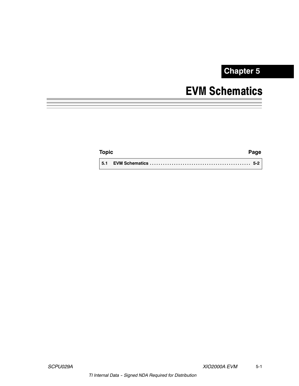# **EVM Schematics**

| <b>Topic</b> | Page |
|--------------|------|
|              |      |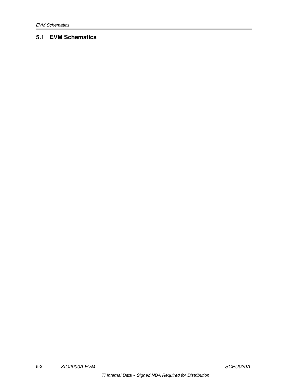### **5.1 EVM Schematics**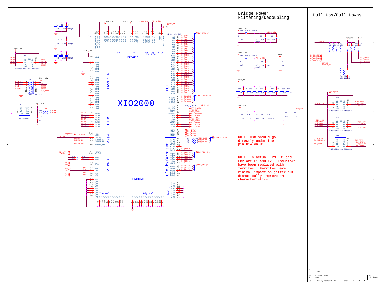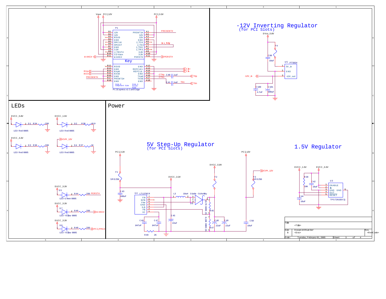